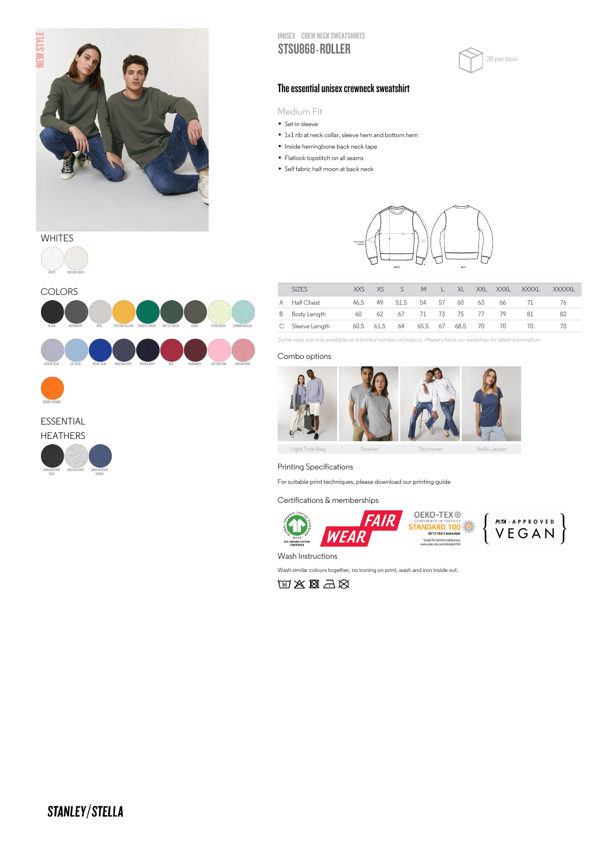

## **WHITES**

BRIGHT ORANGE

ESSENTIAL HEATHERS

> DARK HEATHER GREY

HEATHER GREY DARK HEATHER INDIGO





UNISEX CREW NECK SWEATSHIRTS STSU868 - ROLLER



## The essential unisex crewneck sweatshirt

Medium Fit

IVIed1um F<br>• Set-in sleeve

- Set-in sleeve<br>• 1x1 rib at neck collar, sleeve hem and bottom hem
- 1x1 rib at neck collar, sleeve hem a<br>• Inside herringbone back neck tape
- Inside herringbone back neck<br>• Flatlock topstitch on all seams
- Flatlock topstitch on all seams<br>• Self fabric half moon at back neck



|   | SIZES           | XXS  | XS.       |      | M    |    | XI.         | XXL | XXXL | <b>XXXXL</b> | <b>XXXXXL</b> |
|---|-----------------|------|-----------|------|------|----|-------------|-----|------|--------------|---------------|
|   | A Half Chest    | 46.5 | 49        | 51.5 | 54   | 57 | 60          | 63  | 66   |              | 76            |
| B | Body Length     | 60   | 62        | 67   |      |    | 71 73 75 77 |     | -79  | 81           | 82            |
|   | C Sleeve Length |      | 60.5 61.5 | 64   | 65.5 | 67 | 68.5        | 70. | 70   | $\prime$ ()  | 70            |

Some sizes are only available on a limited number of colours. Please check our webshop for latest information

#### Combo options



Printing Specifications

For suitable print techniques, please download our printing guide

### Certifications & memberships



Wash Instructions

Wash similar colours together, no ironing on print, wash and iron inside out.

 $\mathbb{W}\times\mathbb{R}\rightarrow\mathbb{R}$ 

# STANLEY/STELLA